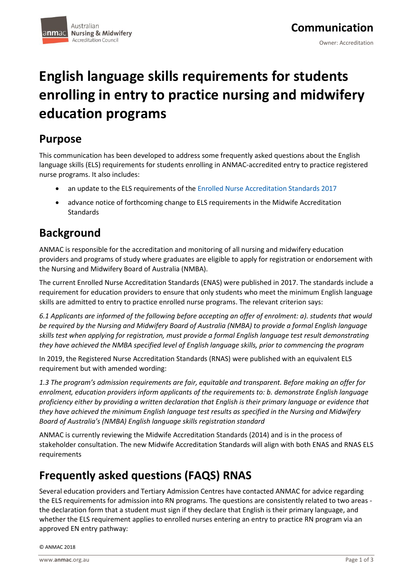# **English language skills requirements for students enrolling in entry to practice nursing and midwifery education programs**

### **Purpose**

This communication has been developed to address some frequently asked questions about the English language skills (ELS) requirements for students enrolling in ANMAC-accredited entry to practice registered nurse programs. It also includes:

- an update to the ELS requirements of the [Enrolled Nurse Accreditation Standards 2017](https://www.anmac.org.au/sites/default/files/documents/ANMAC_EN_Standards_web.pdf)
- advance notice of forthcoming change to ELS requirements in the Midwife Accreditation Standards

# **Background**

ANMAC is responsible for the accreditation and monitoring of all nursing and midwifery education providers and programs of study where graduates are eligible to apply for registration or endorsement with the Nursing and Midwifery Board of Australia (NMBA).

The current Enrolled Nurse Accreditation Standards (ENAS) were published in 2017. The standards include a requirement for education providers to ensure that only students who meet the minimum English language skills are admitted to entry to practice enrolled nurse programs. The relevant criterion says:

*6.1 Applicants are informed of the following before accepting an offer of enrolment: a). students that would be required by the Nursing and Midwifery Board of Australia (NMBA) to provide a formal English language skills test when applying for registration, must provide a formal English language test result demonstrating they have achieved the NMBA specified level of English language skills, prior to commencing the program*

In 2019, the Registered Nurse Accreditation Standards (RNAS) were published with an equivalent ELS requirement but with amended wording:

*1.3 The program's admission requirements are fair, equitable and transparent. Before making an offer for enrolment, education providers inform applicants of the requirements to: b. demonstrate English language proficiency either by providing a written declaration that English is their primary language or evidence that they have achieved the minimum English language test results as specified in the Nursing and Midwifery Board of Australia's (NMBA) English language skills registration standard*

ANMAC is currently reviewing the Midwife Accreditation Standards (2014) and is in the process of stakeholder consultation. The new Midwife Accreditation Standards will align with both ENAS and RNAS ELS requirements

## **Frequently asked questions (FAQS) RNAS**

Several education providers and Tertiary Admission Centres have contacted ANMAC for advice regarding the ELS requirements for admission into RN programs. The questions are consistently related to two areas the declaration form that a student must sign if they declare that English is their primary language, and whether the ELS requirement applies to enrolled nurses entering an entry to practice RN program via an approved EN entry pathway: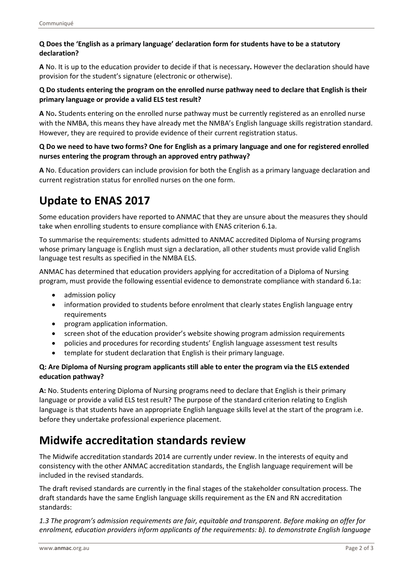#### **Q Does the 'English as a primary language' declaration form for students have to be a statutory declaration?**

**A** No. It is up to the education provider to decide if that is necessary**.** However the declaration should have provision for the student's signature (electronic or otherwise).

#### **Q Do students entering the program on the enrolled nurse pathway need to declare that English is their primary language or provide a valid ELS test result?**

**A** No**.** Students entering on the enrolled nurse pathway must be currently registered as an enrolled nurse with the NMBA, this means they have already met the NMBA's English language skills registration standard. However, they are required to provide evidence of their current registration status.

#### **Q Do we need to have two forms? One for English as a primary language and one for registered enrolled nurses entering the program through an approved entry pathway?**

**A** No. Education providers can include provision for both the English as a primary language declaration and current registration status for enrolled nurses on the one form.

# **Update to ENAS 2017**

Some education providers have reported to ANMAC that they are unsure about the measures they should take when enrolling students to ensure compliance with ENAS criterion 6.1a.

To summarise the requirements: students admitted to ANMAC accredited Diploma of Nursing programs whose primary language is English must sign a declaration, all other students must provide valid English language test results as specified in the NMBA ELS.

ANMAC has determined that education providers applying for accreditation of a Diploma of Nursing program, must provide the following essential evidence to demonstrate compliance with standard 6.1a:

- admission policy
- information provided to students before enrolment that clearly states English language entry requirements
- program application information.
- screen shot of the education provider's website showing program admission requirements
- policies and procedures for recording students' English language assessment test results
- template for student declaration that English is their primary language.

#### **Q: Are Diploma of Nursing program applicants still able to enter the program via the ELS extended education pathway?**

**A:** No. Students entering Diploma of Nursing programs need to declare that English is their primary language or provide a valid ELS test result? The purpose of the standard criterion relating to English language is that students have an appropriate English language skills level at the start of the program i.e. before they undertake professional experience placement.

### **Midwife accreditation standards review**

The Midwife accreditation standards 2014 are currently under review. In the interests of equity and consistency with the other ANMAC accreditation standards, the English language requirement will be included in the revised standards.

The draft revised standards are currently in the final stages of the stakeholder consultation process. The draft standards have the same English language skills requirement as the EN and RN accreditation standards:

*1.3 The program's admission requirements are fair, equitable and transparent. Before making an offer for enrolment, education providers inform applicants of the requirements: b). to demonstrate English language*